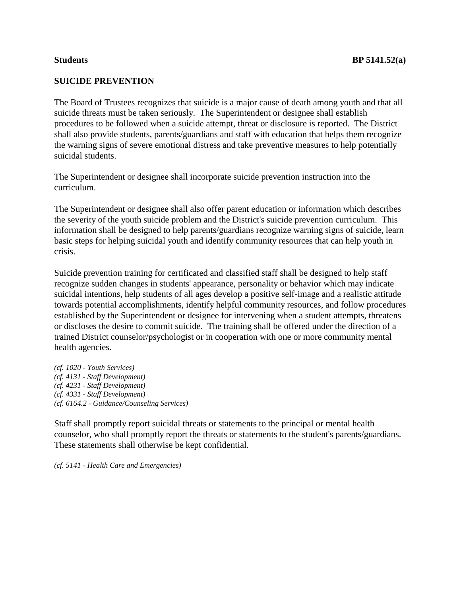## **SUICIDE PREVENTION**

The Board of Trustees recognizes that suicide is a major cause of death among youth and that all suicide threats must be taken seriously. The Superintendent or designee shall establish procedures to be followed when a suicide attempt, threat or disclosure is reported. The District shall also provide students, parents/guardians and staff with education that helps them recognize the warning signs of severe emotional distress and take preventive measures to help potentially suicidal students.

The Superintendent or designee shall incorporate suicide prevention instruction into the curriculum.

The Superintendent or designee shall also offer parent education or information which describes the severity of the youth suicide problem and the District's suicide prevention curriculum. This information shall be designed to help parents/guardians recognize warning signs of suicide, learn basic steps for helping suicidal youth and identify community resources that can help youth in crisis.

Suicide prevention training for certificated and classified staff shall be designed to help staff recognize sudden changes in students' appearance, personality or behavior which may indicate suicidal intentions, help students of all ages develop a positive self-image and a realistic attitude towards potential accomplishments, identify helpful community resources, and follow procedures established by the Superintendent or designee for intervening when a student attempts, threatens or discloses the desire to commit suicide. The training shall be offered under the direction of a trained District counselor/psychologist or in cooperation with one or more community mental health agencies.

*(cf. 1020 - Youth Services) (cf. 4131 - Staff Development) (cf. 4231 - Staff Development) (cf. 4331 - Staff Development) (cf. 6164.2 - Guidance/Counseling Services)*

Staff shall promptly report suicidal threats or statements to the principal or mental health counselor, who shall promptly report the threats or statements to the student's parents/guardians. These statements shall otherwise be kept confidential.

*(cf. 5141 - Health Care and Emergencies)*